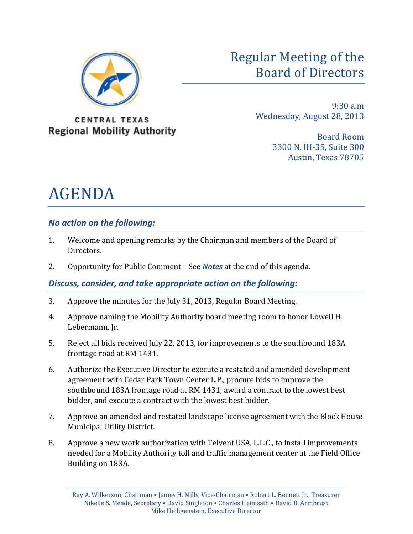

Regular Meeting of the Board of Directors

**CENTRAL TEXAS Regional Mobility Authority** 

9:30 a.m Wednesday, August 28, 2013

> Board Room 3300 N. IH-35, Suite 300 Austin, Texas 78705

# AGENDA

# *No action on the following:*

- 1. Welcome and opening remarks by the Chairman and members of the Board of Directors.
- 2. Opportunity for Public Comment See *Notes* at the end of this agenda.

# *Discuss, consider, and take appropriate action on the following:*

- 3. Approve the minutes for the July 31, 2013, Regular Board Meeting.
- 4. Approve naming the Mobility Authority board meeting room to honor Lowell H. Lebermann, Jr.
- 5. Reject all bids received July 22, 2013, for improvements to the southbound 183A frontage road at RM 1431.
- 6. Authorize the Executive Director to execute a restated and amended development agreement with Cedar Park Town Center L.P., procure bids to improve the southbound 183A frontage road at RM 1431; award a contract to the lowest best bidder, and execute a contract with the lowest best bidder.
- 7. Approve an amended and restated landscape license agreement with the Block House Municipal Utility District.
- 8. Approve a new work authorization with Telvent USA, L.L.C., to install improvements needed for a Mobility Authority toll and traffic management center at the Field Office Building on 183A.

Ray A. Wilkerson, Chairman • James H. Mills, Vice-Chairman • Robert L. Bennett Jr., Treasurer Nikelle S. Meade, Secretary • David Singleton • Charles Heimsath • David B. Armbrust Mike Heiligenstein, Executive Director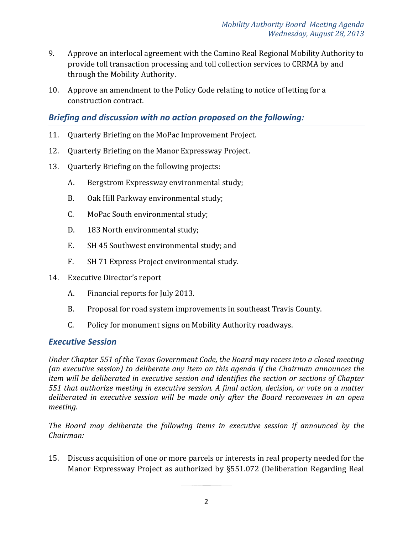- 9. Approve an interlocal agreement with the Camino Real Regional Mobility Authority to provide toll transaction processing and toll collection services to CRRMA by and through the Mobility Authority.
- 10. Approve an amendment to the Policy Code relating to notice of letting for a construction contract.

## *Briefing and discussion with no action proposed on the following:*

- 11. Quarterly Briefing on the MoPac Improvement Project.
- 12. Quarterly Briefing on the Manor Expressway Project.
- 13. Quarterly Briefing on the following projects:
	- A. Bergstrom Expressway environmental study;
	- B. Oak Hill Parkway environmental study;
	- C. MoPac South environmental study;
	- D. 183 North environmental study;
	- E. SH 45 Southwest environmental study; and
	- F. SH 71 Express Project environmental study.
- 14. Executive Director's report
	- A. Financial reports for July 2013.
	- B. Proposal for road system improvements in southeast Travis County.
	- C. Policy for monument signs on Mobility Authority roadways.

## *Executive Session*

*Under Chapter 551 of the Texas Government Code, the Board may recess into a closed meeting (an executive session) to deliberate any item on this agenda if the Chairman announces the item will be deliberated in executive session and identifies the section or sections of Chapter 551 that authorize meeting in executive session. A final action, decision, or vote on a matter deliberated in executive session will be made only after the Board reconvenes in an open meeting.*

*The Board may deliberate the following items in executive session if announced by the Chairman:*

15. Discuss acquisition of one or more parcels or interests in real property needed for the Manor Expressway Project as authorized by §551.072 (Deliberation Regarding Real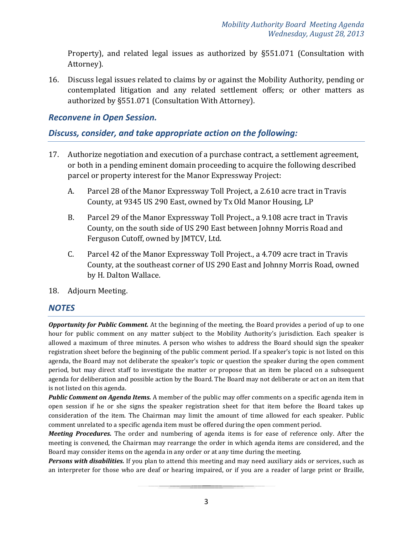Property), and related legal issues as authorized by §551.071 (Consultation with Attorney).

16. Discuss legal issues related to claims by or against the Mobility Authority, pending or contemplated litigation and any related settlement offers; or other matters as authorized by §551.071 (Consultation With Attorney).

### *Reconvene in Open Session.*

### *Discuss, consider, and take appropriate action on the following:*

- 17. Authorize negotiation and execution of a purchase contract, a settlement agreement, or both in a pending eminent domain proceeding to acquire the following described parcel or property interest for the Manor Expressway Project:
	- A. Parcel 28 of the Manor Expressway Toll Project, a 2.610 acre tract in Travis County, at 9345 US 290 East, owned by Tx Old Manor Housing, LP
	- B. Parcel 29 of the Manor Expressway Toll Project., a 9.108 acre tract in Travis County, on the south side of US 290 East between Johnny Morris Road and Ferguson Cutoff, owned by JMTCV, Ltd.
	- C. Parcel 42 of the Manor Expressway Toll Project., a 4.709 acre tract in Travis County, at the southeast corner of US 290 East and Johnny Morris Road, owned by H. Dalton Wallace.
- 18. Adjourn Meeting.

#### *NOTES*

*Opportunity for Public Comment.* At the beginning of the meeting, the Board provides a period of up to one hour for public comment on any matter subject to the Mobility Authority's jurisdiction. Each speaker is allowed a maximum of three minutes. A person who wishes to address the Board should sign the speaker registration sheet before the beginning of the public comment period. If a speaker's topic is not listed on this agenda, the Board may not deliberate the speaker's topic or question the speaker during the open comment period, but may direct staff to investigate the matter or propose that an item be placed on a subsequent agenda for deliberation and possible action by the Board. The Board may not deliberate or act on an item that is not listed on this agenda.

*Public Comment on Agenda Items.* A member of the public may offer comments on a specific agenda item in open session if he or she signs the speaker registration sheet for that item before the Board takes up consideration of the item. The Chairman may limit the amount of time allowed for each speaker. Public comment unrelated to a specific agenda item must be offered during the open comment period.

*Meeting Procedures.* The order and numbering of agenda items is for ease of reference only. After the meeting is convened, the Chairman may rearrange the order in which agenda items are considered, and the Board may consider items on the agenda in any order or at any time during the meeting.

*Persons with disabilities.* If you plan to attend this meeting and may need auxiliary aids or services, such as an interpreter for those who are deaf or hearing impaired, or if you are a reader of large print or Braille,